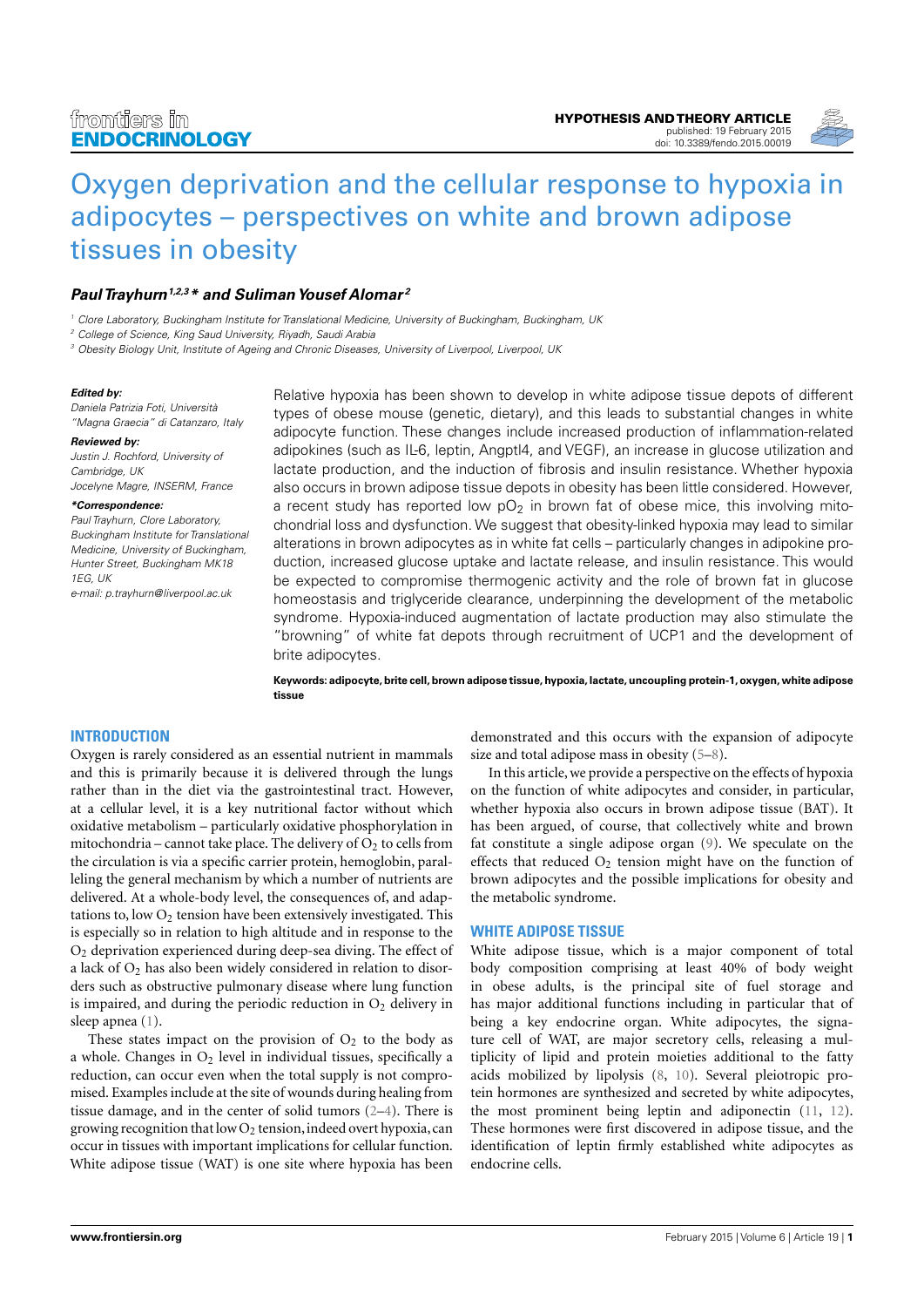

# [Oxygen deprivation and the cellular response to hypoxia in](http://www.frontiersin.org/Journal/10.3389/fendo.2015.00019/abstract) [adipocytes – perspectives on white and brown adipose](http://www.frontiersin.org/Journal/10.3389/fendo.2015.00019/abstract) [tissues in obesity](http://www.frontiersin.org/Journal/10.3389/fendo.2015.00019/abstract)

# **[Paul Trayhurn](http://www.frontiersin.org/people/u/29830)**<sup>1,2,3</sup><sup>\*</sup> and Suliman Yousef Alomar<sup>2</sup>

<sup>1</sup> Clore Laboratory, Buckingham Institute for Translational Medicine, University of Buckingham, Buckingham, UK

<sup>2</sup> College of Science, King Saud University, Riyadh, Saudi Arabia

<sup>3</sup> Obesity Biology Unit, Institute of Ageing and Chronic Diseases, University of Liverpool, Liverpool, UK

#### **Edited by:**

Daniela Patrizia Foti, Università "Magna Graecia" di Catanzaro, Italy

#### **Reviewed by:**

Justin J. Rochford, University of Cambridge, UK Jocelyne Magre, INSERM, France

#### **\*Correspondence:**

Paul Trayhurn, Clore Laboratory, Buckingham Institute for Translational Medicine, University of Buckingham, Hunter Street, Buckingham MK18 1EG, UK

e-mail: [p.trayhurn@liverpool.ac.uk](mailto:p.trayhurn@liverpool.ac.uk)

Relative hypoxia has been shown to develop in white adipose tissue depots of different types of obese mouse (genetic, dietary), and this leads to substantial changes in white adipocyte function. These changes include increased production of inflammation-related adipokines (such as IL-6, leptin, Angptl4, and VEGF), an increase in glucose utilization and lactate production, and the induction of fibrosis and insulin resistance. Whether hypoxia also occurs in brown adipose tissue depots in obesity has been little considered. However, a recent study has reported low  $pO<sub>2</sub>$  in brown fat of obese mice, this involving mitochondrial loss and dysfunction. We suggest that obesity-linked hypoxia may lead to similar alterations in brown adipocytes as in white fat cells – particularly changes in adipokine production, increased glucose uptake and lactate release, and insulin resistance. This would be expected to compromise thermogenic activity and the role of brown fat in glucose homeostasis and triglyceride clearance, underpinning the development of the metabolic syndrome. Hypoxia-induced augmentation of lactate production may also stimulate the "browning" of white fat depots through recruitment of UCP1 and the development of brite adipocytes.

**Keywords: adipocyte, brite cell, brown adipose tissue, hypoxia, lactate, uncoupling protein-1, oxygen, white adipose tissue**

## **INTRODUCTION**

Oxygen is rarely considered as an essential nutrient in mammals and this is primarily because it is delivered through the lungs rather than in the diet via the gastrointestinal tract. However, at a cellular level, it is a key nutritional factor without which oxidative metabolism – particularly oxidative phosphorylation in mitochondria – cannot take place. The delivery of  $O_2$  to cells from the circulation is via a specific carrier protein, hemoglobin, paralleling the general mechanism by which a number of nutrients are delivered. At a whole-body level, the consequences of, and adaptations to, low  $O_2$  tension have been extensively investigated. This is especially so in relation to high altitude and in response to the O<sup>2</sup> deprivation experienced during deep-sea diving. The effect of a lack of  $O_2$  has also been widely considered in relation to disorders such as obstructive pulmonary disease where lung function is impaired, and during the periodic reduction in  $O_2$  delivery in sleep apnea [\(1\)](#page-5-0).

These states impact on the provision of  $O<sub>2</sub>$  to the body as a whole. Changes in  $O_2$  level in individual tissues, specifically a reduction, can occur even when the total supply is not compromised. Examples include at the site of wounds during healing from tissue damage, and in the center of solid tumors [\(2–](#page-5-1)[4\)](#page-5-2). There is growing recognition that low  $O_2$  tension, indeed overt hypoxia, can occur in tissues with important implications for cellular function. White adipose tissue (WAT) is one site where hypoxia has been

demonstrated and this occurs with the expansion of adipocyte size and total adipose mass in obesity [\(5–](#page-5-3)[8\)](#page-5-4).

In this article, we provide a perspective on the effects of hypoxia on the function of white adipocytes and consider, in particular, whether hypoxia also occurs in brown adipose tissue (BAT). It has been argued, of course, that collectively white and brown fat constitute a single adipose organ [\(9\)](#page-5-5). We speculate on the effects that reduced  $O_2$  tension might have on the function of brown adipocytes and the possible implications for obesity and the metabolic syndrome.

## **WHITE ADIPOSE TISSUE**

White adipose tissue, which is a major component of total body composition comprising at least 40% of body weight in obese adults, is the principal site of fuel storage and has major additional functions including in particular that of being a key endocrine organ. White adipocytes, the signature cell of WAT, are major secretory cells, releasing a multiplicity of lipid and protein moieties additional to the fatty acids mobilized by lipolysis [\(8,](#page-5-4) [10\)](#page-5-6). Several pleiotropic protein hormones are synthesized and secreted by white adipocytes, the most prominent being leptin and adiponectin [\(11,](#page-5-7) [12\)](#page-5-8). These hormones were first discovered in adipose tissue, and the identification of leptin firmly established white adipocytes as endocrine cells.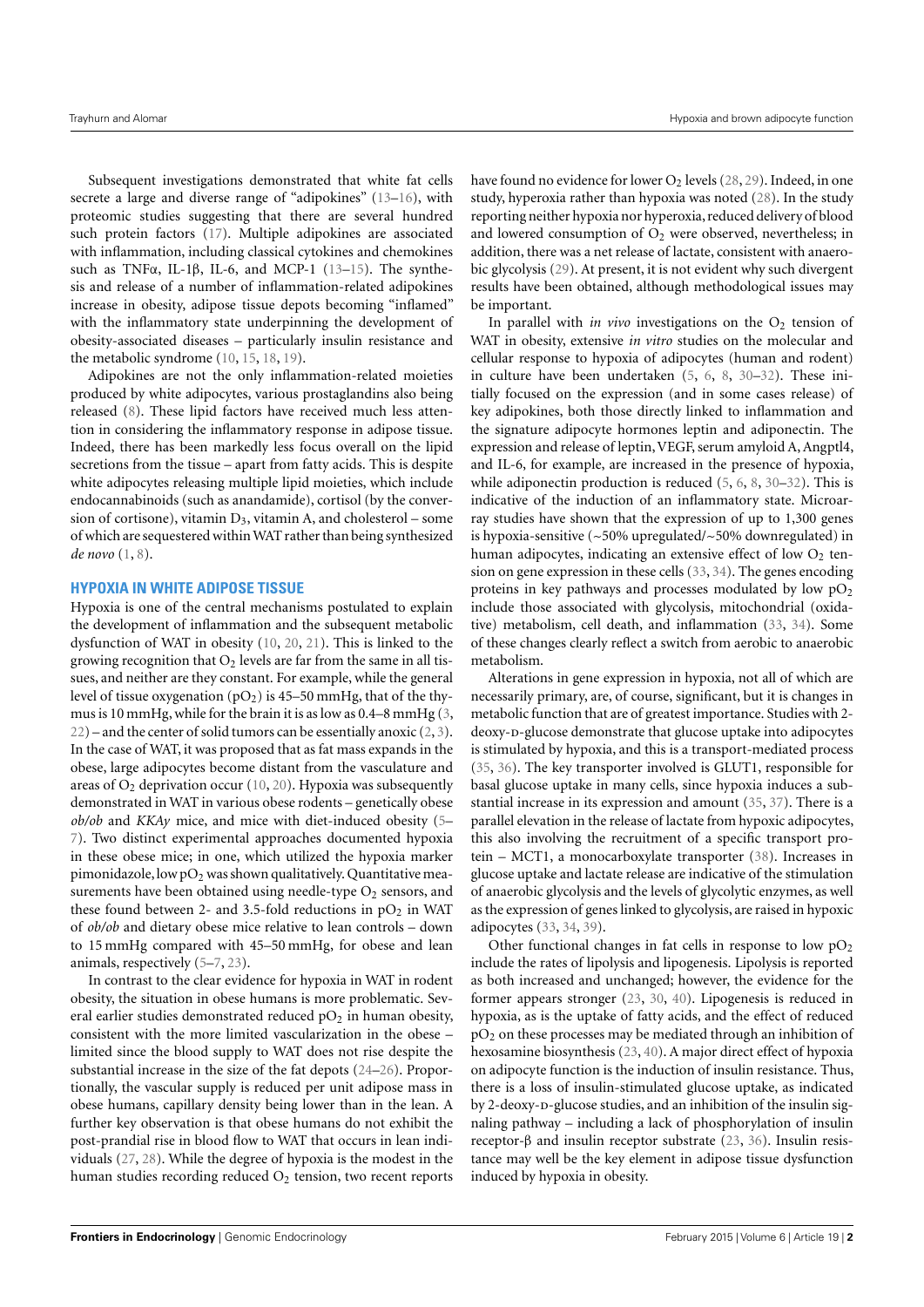Subsequent investigations demonstrated that white fat cells secrete a large and diverse range of "adipokines" [\(13–](#page-5-9)[16\)](#page-5-10), with proteomic studies suggesting that there are several hundred such protein factors [\(17\)](#page-5-11). Multiple adipokines are associated with inflammation, including classical cytokines and chemokines such as TNFα, IL-1β, IL-6, and MCP-1 [\(13](#page-5-9)[–15\)](#page-5-12). The synthesis and release of a number of inflammation-related adipokines increase in obesity, adipose tissue depots becoming "inflamed" with the inflammatory state underpinning the development of obesity-associated diseases – particularly insulin resistance and the metabolic syndrome [\(10,](#page-5-6) [15,](#page-5-12) [18,](#page-5-13) [19\)](#page-5-14).

Adipokines are not the only inflammation-related moieties produced by white adipocytes, various prostaglandins also being released [\(8\)](#page-5-4). These lipid factors have received much less attention in considering the inflammatory response in adipose tissue. Indeed, there has been markedly less focus overall on the lipid secretions from the tissue – apart from fatty acids. This is despite white adipocytes releasing multiple lipid moieties, which include endocannabinoids (such as anandamide), cortisol (by the conversion of cortisone), vitamin  $D_3$ , vitamin A, and cholesterol – some of which are sequestered within WAT rather than being synthesized *de novo* [\(1,](#page-5-0) [8\)](#page-5-4).

## **HYPOXIA IN WHITE ADIPOSE TISSUE**

Hypoxia is one of the central mechanisms postulated to explain the development of inflammation and the subsequent metabolic dysfunction of WAT in obesity [\(10,](#page-5-6) [20,](#page-5-15) [21\)](#page-5-16). This is linked to the growing recognition that  $O_2$  levels are far from the same in all tissues, and neither are they constant. For example, while the general level of tissue oxygenation ( $pO<sub>2</sub>$ ) is 45–50 mmHg, that of the thymus is 10 mmHg, while for the brain it is as low as 0.4–8 mmHg [\(3,](#page-5-17)  $22$ ) – and the center of solid tumors can be essentially anoxic  $(2, 3)$  $(2, 3)$  $(2, 3)$ . In the case of WAT, it was proposed that as fat mass expands in the obese, large adipocytes become distant from the vasculature and areas of  $O_2$  deprivation occur [\(10,](#page-5-6) [20\)](#page-5-15). Hypoxia was subsequently demonstrated in WAT in various obese rodents – genetically obese *ob/ob* and *KKAy* mice, and mice with diet-induced obesity [\(5–](#page-5-3) [7\)](#page-5-19). Two distinct experimental approaches documented hypoxia in these obese mice; in one, which utilized the hypoxia marker pimonidazole, low  $pO_2$  was shown qualitatively. Quantitative measurements have been obtained using needle-type  $O_2$  sensors, and these found between 2- and 3.5-fold reductions in  $pO_2$  in WAT of *ob/ob* and dietary obese mice relative to lean controls – down to 15 mmHg compared with 45–50 mmHg, for obese and lean animals, respectively [\(5](#page-5-3)[–7,](#page-5-19) [23\)](#page-5-20).

In contrast to the clear evidence for hypoxia in WAT in rodent obesity, the situation in obese humans is more problematic. Several earlier studies demonstrated reduced  $pO<sub>2</sub>$  in human obesity, consistent with the more limited vascularization in the obese – limited since the blood supply to WAT does not rise despite the substantial increase in the size of the fat depots [\(24–](#page-5-21)[26\)](#page-5-22). Proportionally, the vascular supply is reduced per unit adipose mass in obese humans, capillary density being lower than in the lean. A further key observation is that obese humans do not exhibit the post-prandial rise in blood flow to WAT that occurs in lean individuals [\(27,](#page-5-23) [28\)](#page-5-24). While the degree of hypoxia is the modest in the human studies recording reduced  $O_2$  tension, two recent reports

have found no evidence for lower  $O_2$  levels [\(28,](#page-5-24) [29\)](#page-5-25). Indeed, in one study, hyperoxia rather than hypoxia was noted [\(28\)](#page-5-24). In the study reporting neither hypoxia nor hyperoxia, reduced delivery of blood and lowered consumption of  $O_2$  were observed, nevertheless; in addition, there was a net release of lactate, consistent with anaerobic glycolysis [\(29\)](#page-5-25). At present, it is not evident why such divergent results have been obtained, although methodological issues may be important.

In parallel with *in vivo* investigations on the  $O_2$  tension of WAT in obesity, extensive *in vitro* studies on the molecular and cellular response to hypoxia of adipocytes (human and rodent) in culture have been undertaken [\(5,](#page-5-3) [6,](#page-5-26) [8,](#page-5-4) [30](#page-5-27)[–32\)](#page-5-28). These initially focused on the expression (and in some cases release) of key adipokines, both those directly linked to inflammation and the signature adipocyte hormones leptin and adiponectin. The expression and release of leptin, VEGF, serum amyloid A, Angptl4, and IL-6, for example, are increased in the presence of hypoxia, while adiponectin production is reduced [\(5,](#page-5-3) [6,](#page-5-26) [8,](#page-5-4) [30](#page-5-27)[–32\)](#page-5-28). This is indicative of the induction of an inflammatory state. Microarray studies have shown that the expression of up to 1,300 genes is hypoxia-sensitive (~50% upregulated/~50% downregulated) in human adipocytes, indicating an extensive effect of low  $O<sub>2</sub>$  tension on gene expression in these cells [\(33,](#page-5-29) [34\)](#page-5-30). The genes encoding proteins in key pathways and processes modulated by low  $pO<sub>2</sub>$ include those associated with glycolysis, mitochondrial (oxidative) metabolism, cell death, and inflammation [\(33,](#page-5-29) [34\)](#page-5-30). Some of these changes clearly reflect a switch from aerobic to anaerobic metabolism.

Alterations in gene expression in hypoxia, not all of which are necessarily primary, are, of course, significant, but it is changes in metabolic function that are of greatest importance. Studies with 2 deoxy-p-glucose demonstrate that glucose uptake into adipocytes is stimulated by hypoxia, and this is a transport-mediated process [\(35,](#page-5-31) [36\)](#page-5-32). The key transporter involved is GLUT1, responsible for basal glucose uptake in many cells, since hypoxia induces a substantial increase in its expression and amount [\(35,](#page-5-31) [37\)](#page-5-33). There is a parallel elevation in the release of lactate from hypoxic adipocytes, this also involving the recruitment of a specific transport protein – MCT1, a monocarboxylate transporter [\(38\)](#page-5-34). Increases in glucose uptake and lactate release are indicative of the stimulation of anaerobic glycolysis and the levels of glycolytic enzymes, as well as the expression of genes linked to glycolysis, are raised in hypoxic adipocytes [\(33,](#page-5-29) [34,](#page-5-30) [39\)](#page-5-35).

Other functional changes in fat cells in response to low  $pO<sub>2</sub>$ include the rates of lipolysis and lipogenesis. Lipolysis is reported as both increased and unchanged; however, the evidence for the former appears stronger [\(23,](#page-5-20) [30,](#page-5-27) [40\)](#page-5-36). Lipogenesis is reduced in hypoxia, as is the uptake of fatty acids, and the effect of reduced  $pO<sub>2</sub>$  on these processes may be mediated through an inhibition of hexosamine biosynthesis [\(23,](#page-5-20) [40\)](#page-5-36). A major direct effect of hypoxia on adipocyte function is the induction of insulin resistance. Thus, there is a loss of insulin-stimulated glucose uptake, as indicated by 2-deoxy-p-glucose studies, and an inhibition of the insulin signaling pathway – including a lack of phosphorylation of insulin receptor-β and insulin receptor substrate [\(23,](#page-5-20) [36\)](#page-5-32). Insulin resistance may well be the key element in adipose tissue dysfunction induced by hypoxia in obesity.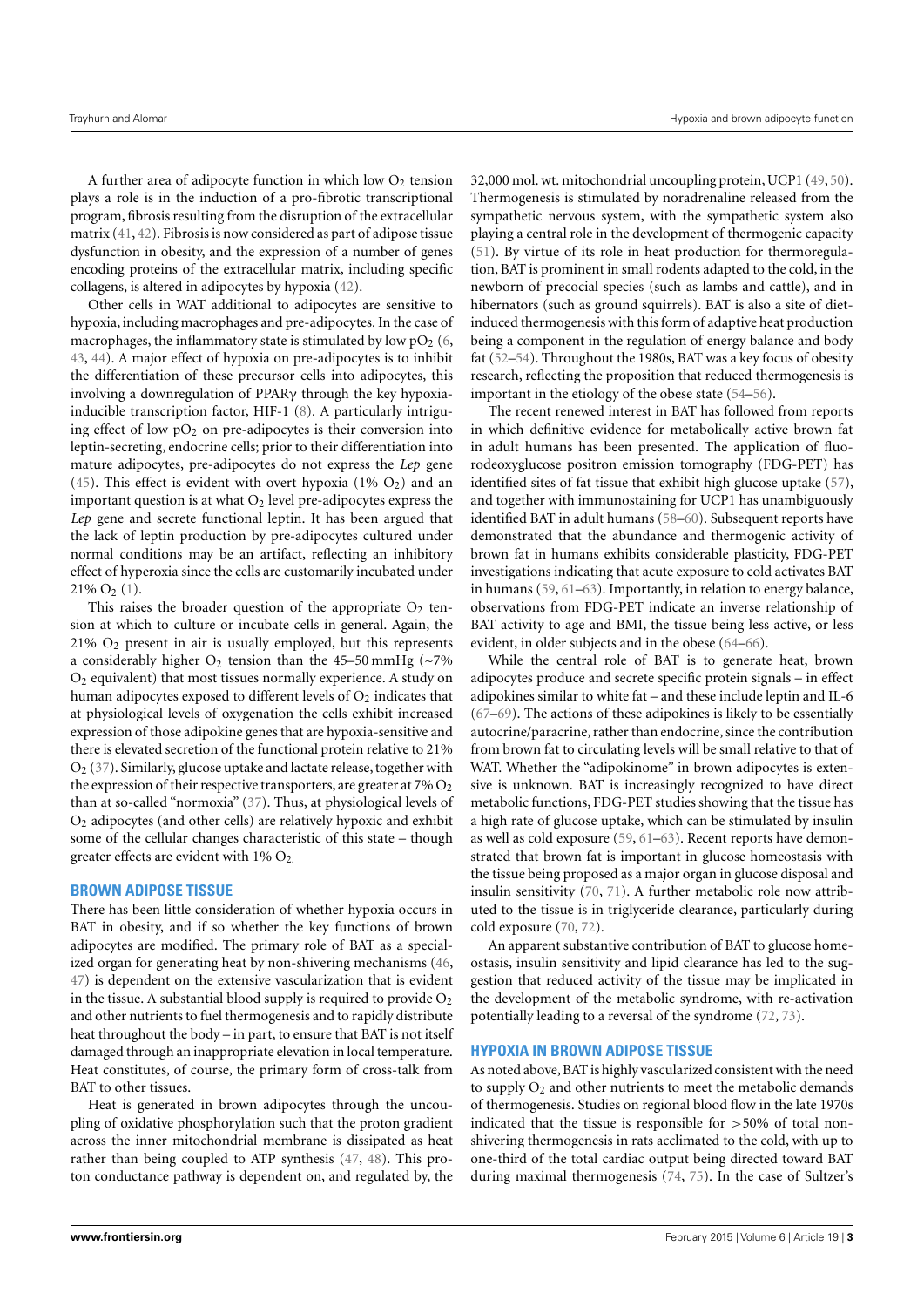A further area of adipocyte function in which low  $O_2$  tension plays a role is in the induction of a pro-fibrotic transcriptional program, fibrosis resulting from the disruption of the extracellular matrix [\(41,](#page-5-37) [42\)](#page-5-38). Fibrosis is now considered as part of adipose tissue dysfunction in obesity, and the expression of a number of genes encoding proteins of the extracellular matrix, including specific collagens, is altered in adipocytes by hypoxia [\(42\)](#page-5-38).

Other cells in WAT additional to adipocytes are sensitive to hypoxia, including macrophages and pre-adipocytes. In the case of macrophages, the inflammatory state is stimulated by low  $pO_2$  [\(6,](#page-5-26) [43,](#page-5-39) [44\)](#page-6-0). A major effect of hypoxia on pre-adipocytes is to inhibit the differentiation of these precursor cells into adipocytes, this involving a downregulation of PPARγ through the key hypoxiainducible transcription factor, HIF-1 [\(8\)](#page-5-4). A particularly intriguing effect of low  $pO_2$  on pre-adipocytes is their conversion into leptin-secreting, endocrine cells; prior to their differentiation into mature adipocytes, pre-adipocytes do not express the *Lep* gene [\(45\)](#page-6-1). This effect is evident with overt hypoxia (1%  $O_2$ ) and an important question is at what  $O<sub>2</sub>$  level pre-adipocytes express the *Lep* gene and secrete functional leptin. It has been argued that the lack of leptin production by pre-adipocytes cultured under normal conditions may be an artifact, reflecting an inhibitory effect of hyperoxia since the cells are customarily incubated under  $21\%$  O<sub>2</sub> [\(1\)](#page-5-0).

This raises the broader question of the appropriate  $O_2$  tension at which to culture or incubate cells in general. Again, the 21% O<sup>2</sup> present in air is usually employed, but this represents a considerably higher  $O_2$  tension than the 45–50 mmHg (~7%  $O<sub>2</sub>$  equivalent) that most tissues normally experience. A study on human adipocytes exposed to different levels of  $O<sub>2</sub>$  indicates that at physiological levels of oxygenation the cells exhibit increased expression of those adipokine genes that are hypoxia-sensitive and there is elevated secretion of the functional protein relative to 21%  $O<sub>2</sub>$  [\(37\)](#page-5-33). Similarly, glucose uptake and lactate release, together with the expression of their respective transporters, are greater at  $7\%$   $O_2$ than at so-called "normoxia" [\(37\)](#page-5-33). Thus, at physiological levels of  $O<sub>2</sub>$  adipocytes (and other cells) are relatively hypoxic and exhibit some of the cellular changes characteristic of this state – though greater effects are evident with  $1\%$   $O_2$ .

## **BROWN ADIPOSE TISSUE**

There has been little consideration of whether hypoxia occurs in BAT in obesity, and if so whether the key functions of brown adipocytes are modified. The primary role of BAT as a specialized organ for generating heat by non-shivering mechanisms [\(46,](#page-6-2) [47\)](#page-6-3) is dependent on the extensive vascularization that is evident in the tissue. A substantial blood supply is required to provide  $O_2$ and other nutrients to fuel thermogenesis and to rapidly distribute heat throughout the body – in part, to ensure that BAT is not itself damaged through an inappropriate elevation in local temperature. Heat constitutes, of course, the primary form of cross-talk from BAT to other tissues.

Heat is generated in brown adipocytes through the uncoupling of oxidative phosphorylation such that the proton gradient across the inner mitochondrial membrane is dissipated as heat rather than being coupled to ATP synthesis [\(47,](#page-6-3) [48\)](#page-6-4). This proton conductance pathway is dependent on, and regulated by, the

32,000 mol. wt. mitochondrial uncoupling protein, UCP1 [\(49,](#page-6-5) [50\)](#page-6-6). Thermogenesis is stimulated by noradrenaline released from the sympathetic nervous system, with the sympathetic system also playing a central role in the development of thermogenic capacity [\(51\)](#page-6-7). By virtue of its role in heat production for thermoregulation, BAT is prominent in small rodents adapted to the cold, in the newborn of precocial species (such as lambs and cattle), and in hibernators (such as ground squirrels). BAT is also a site of dietinduced thermogenesis with this form of adaptive heat production being a component in the regulation of energy balance and body fat [\(52–](#page-6-8)[54\)](#page-6-9). Throughout the 1980s, BAT was a key focus of obesity research, reflecting the proposition that reduced thermogenesis is important in the etiology of the obese state [\(54–](#page-6-9)[56\)](#page-6-10).

The recent renewed interest in BAT has followed from reports in which definitive evidence for metabolically active brown fat in adult humans has been presented. The application of fluorodeoxyglucose positron emission tomography (FDG-PET) has identified sites of fat tissue that exhibit high glucose uptake [\(57\)](#page-6-11), and together with immunostaining for UCP1 has unambiguously identified BAT in adult humans [\(58](#page-6-12)[–60\)](#page-6-13). Subsequent reports have demonstrated that the abundance and thermogenic activity of brown fat in humans exhibits considerable plasticity, FDG-PET investigations indicating that acute exposure to cold activates BAT in humans [\(59,](#page-6-14) [61–](#page-6-15)[63\)](#page-6-16). Importantly, in relation to energy balance, observations from FDG-PET indicate an inverse relationship of BAT activity to age and BMI, the tissue being less active, or less evident, in older subjects and in the obese [\(64](#page-6-17)[–66\)](#page-6-18).

While the central role of BAT is to generate heat, brown adipocytes produce and secrete specific protein signals – in effect adipokines similar to white fat – and these include leptin and IL-6 [\(67–](#page-6-19)[69\)](#page-6-20). The actions of these adipokines is likely to be essentially autocrine/paracrine, rather than endocrine, since the contribution from brown fat to circulating levels will be small relative to that of WAT. Whether the "adipokinome" in brown adipocytes is extensive is unknown. BAT is increasingly recognized to have direct metabolic functions, FDG-PET studies showing that the tissue has a high rate of glucose uptake, which can be stimulated by insulin as well as cold exposure [\(59,](#page-6-14) [61–](#page-6-15)[63\)](#page-6-16). Recent reports have demonstrated that brown fat is important in glucose homeostasis with the tissue being proposed as a major organ in glucose disposal and insulin sensitivity [\(70,](#page-6-21) [71\)](#page-6-22). A further metabolic role now attributed to the tissue is in triglyceride clearance, particularly during cold exposure [\(70,](#page-6-21) [72\)](#page-6-23).

An apparent substantive contribution of BAT to glucose homeostasis, insulin sensitivity and lipid clearance has led to the suggestion that reduced activity of the tissue may be implicated in the development of the metabolic syndrome, with re-activation potentially leading to a reversal of the syndrome [\(72,](#page-6-23) [73\)](#page-6-24).

#### **HYPOXIA IN BROWN ADIPOSE TISSUE**

As noted above, BAT is highly vascularized consistent with the need to supply  $O_2$  and other nutrients to meet the metabolic demands of thermogenesis. Studies on regional blood flow in the late 1970s indicated that the tissue is responsible for  $>50\%$  of total nonshivering thermogenesis in rats acclimated to the cold, with up to one-third of the total cardiac output being directed toward BAT during maximal thermogenesis [\(74,](#page-6-25) [75\)](#page-6-26). In the case of Sultzer's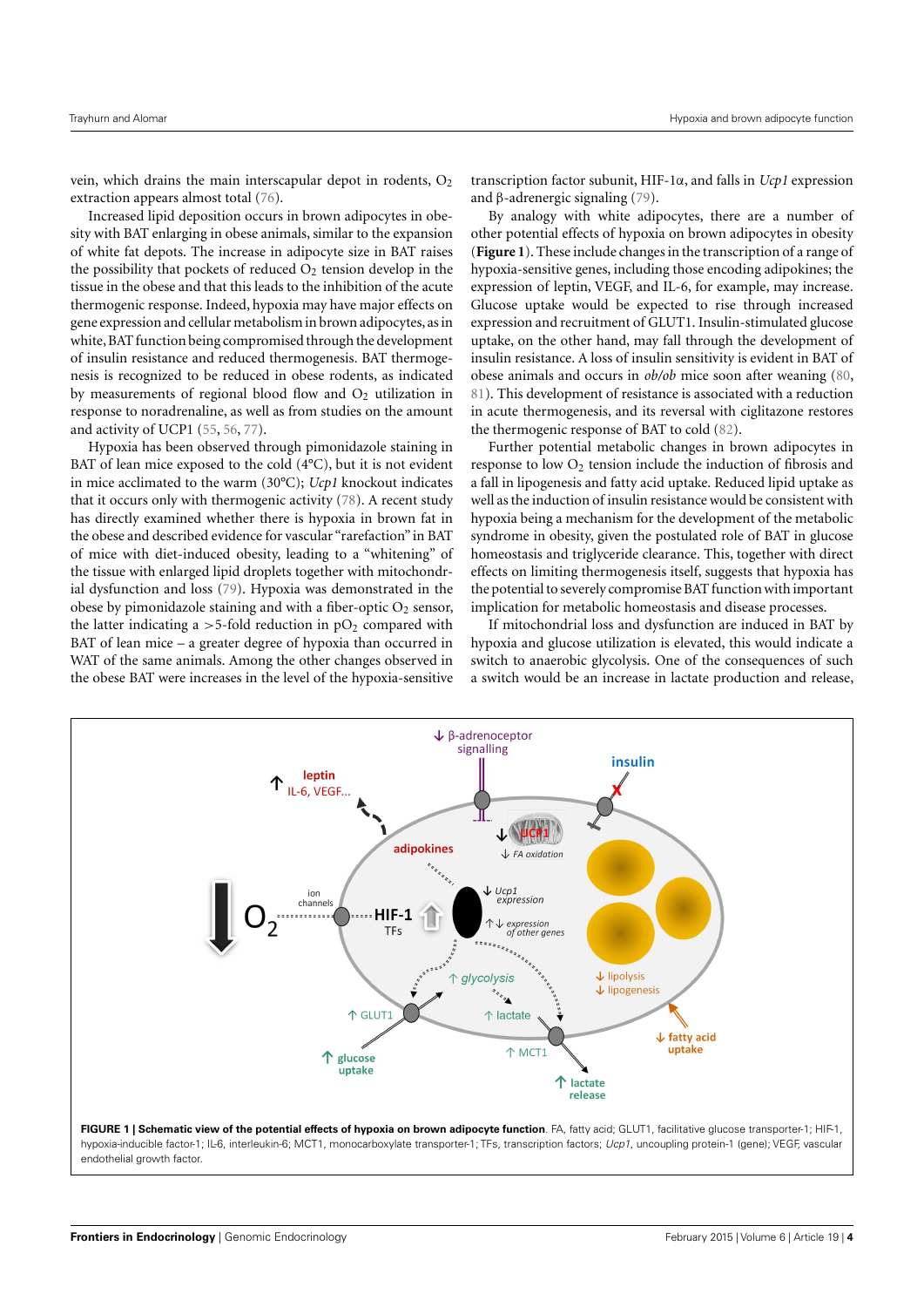vein, which drains the main interscapular depot in rodents,  $O<sub>2</sub>$ extraction appears almost total [\(76\)](#page-6-27).

Increased lipid deposition occurs in brown adipocytes in obesity with BAT enlarging in obese animals, similar to the expansion of white fat depots. The increase in adipocyte size in BAT raises the possibility that pockets of reduced  $O_2$  tension develop in the tissue in the obese and that this leads to the inhibition of the acute thermogenic response. Indeed, hypoxia may have major effects on gene expression and cellular metabolism in brown adipocytes, as in white,BAT function being compromised through the development of insulin resistance and reduced thermogenesis*.* BAT thermogenesis is recognized to be reduced in obese rodents, as indicated by measurements of regional blood flow and  $O<sub>2</sub>$  utilization in response to noradrenaline, as well as from studies on the amount and activity of UCP1 [\(55,](#page-6-28) [56,](#page-6-10) [77\)](#page-6-29).

Hypoxia has been observed through pimonidazole staining in BAT of lean mice exposed to the cold (4°C), but it is not evident in mice acclimated to the warm (30°C); *Ucp1* knockout indicates that it occurs only with thermogenic activity [\(78\)](#page-6-30). A recent study has directly examined whether there is hypoxia in brown fat in the obese and described evidence for vascular "rarefaction" in BAT of mice with diet-induced obesity, leading to a "whitening" of the tissue with enlarged lipid droplets together with mitochondrial dysfunction and loss [\(79\)](#page-6-31). Hypoxia was demonstrated in the obese by pimonidazole staining and with a fiber-optic  $O_2$  sensor, the latter indicating a  $>5$ -fold reduction in  $pO<sub>2</sub>$  compared with BAT of lean mice – a greater degree of hypoxia than occurred in WAT of the same animals. Among the other changes observed in the obese BAT were increases in the level of the hypoxia-sensitive

transcription factor subunit, HIF-1α, and falls in *Ucp1* expression and β-adrenergic signaling [\(79\)](#page-6-31).

By analogy with white adipocytes, there are a number of other potential effects of hypoxia on brown adipocytes in obesity (**[Figure 1](#page-3-0)**). These include changes in the transcription of a range of hypoxia-sensitive genes, including those encoding adipokines; the expression of leptin, VEGF, and IL-6, for example, may increase. Glucose uptake would be expected to rise through increased expression and recruitment of GLUT1. Insulin-stimulated glucose uptake, on the other hand, may fall through the development of insulin resistance. A loss of insulin sensitivity is evident in BAT of obese animals and occurs in *ob/ob* mice soon after weaning [\(80,](#page-6-32) [81\)](#page-6-33). This development of resistance is associated with a reduction in acute thermogenesis, and its reversal with ciglitazone restores the thermogenic response of BAT to cold [\(82\)](#page-6-34).

Further potential metabolic changes in brown adipocytes in response to low  $O_2$  tension include the induction of fibrosis and a fall in lipogenesis and fatty acid uptake. Reduced lipid uptake as well as the induction of insulin resistance would be consistent with hypoxia being a mechanism for the development of the metabolic syndrome in obesity, given the postulated role of BAT in glucose homeostasis and triglyceride clearance. This, together with direct effects on limiting thermogenesis itself, suggests that hypoxia has the potential to severely compromise BAT function with important implication for metabolic homeostasis and disease processes.

If mitochondrial loss and dysfunction are induced in BAT by hypoxia and glucose utilization is elevated, this would indicate a switch to anaerobic glycolysis. One of the consequences of such a switch would be an increase in lactate production and release,

<span id="page-3-0"></span>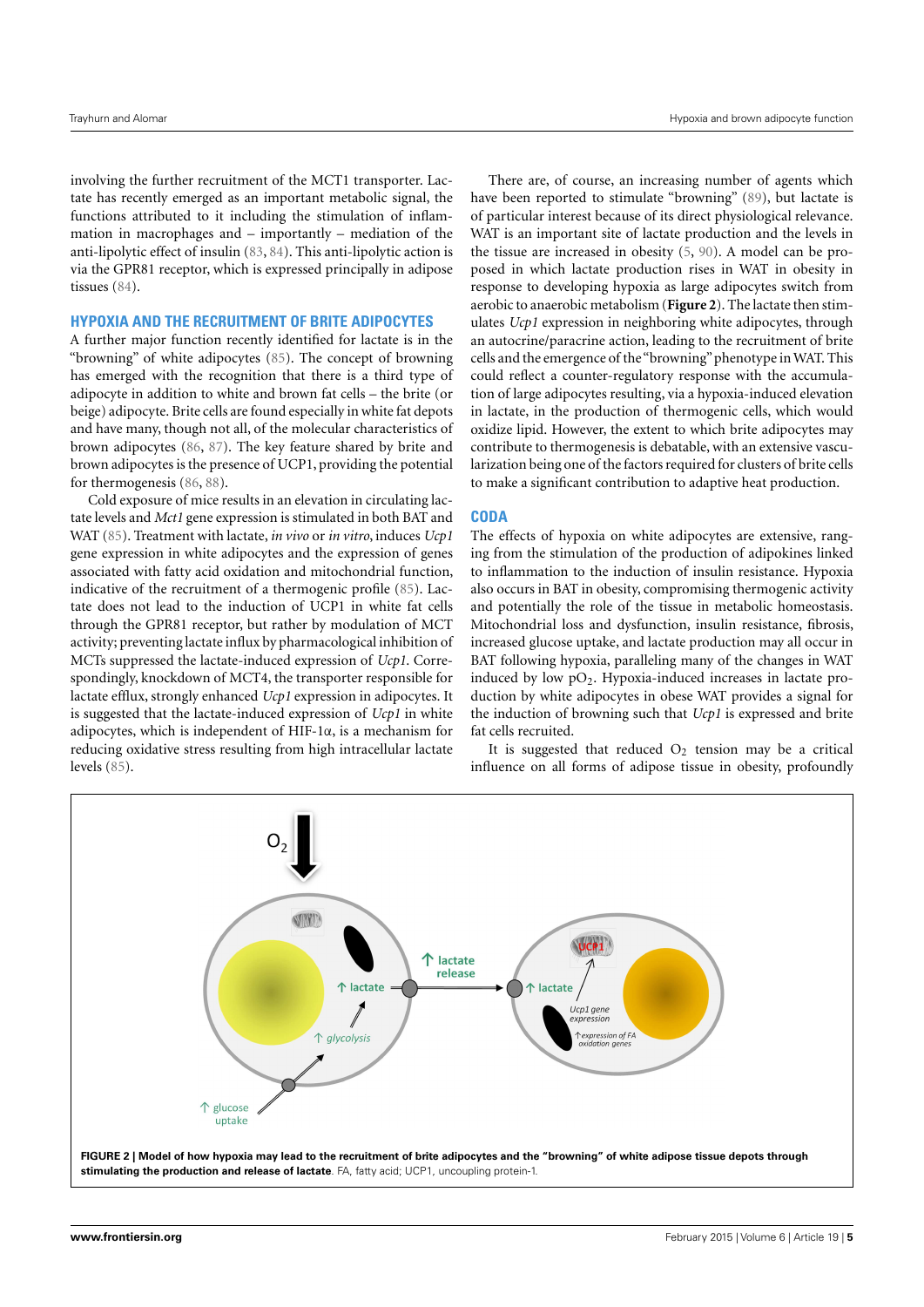involving the further recruitment of the MCT1 transporter. Lactate has recently emerged as an important metabolic signal, the functions attributed to it including the stimulation of inflammation in macrophages and – importantly – mediation of the anti-lipolytic effect of insulin [\(83,](#page-6-35) [84\)](#page-6-36). This anti-lipolytic action is via the GPR81 receptor, which is expressed principally in adipose tissues [\(84\)](#page-6-36).

## **HYPOXIA AND THE RECRUITMENT OF BRITE ADIPOCYTES**

A further major function recently identified for lactate is in the "browning" of white adipocytes [\(85\)](#page-6-37). The concept of browning has emerged with the recognition that there is a third type of adipocyte in addition to white and brown fat cells – the brite (or beige) adipocyte. Brite cells are found especially in white fat depots and have many, though not all, of the molecular characteristics of brown adipocytes [\(86,](#page-6-38) [87\)](#page-6-39). The key feature shared by brite and brown adipocytes is the presence of UCP1, providing the potential for thermogenesis [\(86,](#page-6-38) [88\)](#page-7-0).

Cold exposure of mice results in an elevation in circulating lactate levels and *Mct1* gene expression is stimulated in both BAT and WAT [\(85\)](#page-6-37). Treatment with lactate, *in vivo* or *in vitro*, induces *Ucp1* gene expression in white adipocytes and the expression of genes associated with fatty acid oxidation and mitochondrial function, indicative of the recruitment of a thermogenic profile [\(85\)](#page-6-37). Lactate does not lead to the induction of UCP1 in white fat cells through the GPR81 receptor, but rather by modulation of MCT activity; preventing lactate influx by pharmacological inhibition of MCTs suppressed the lactate-induced expression of *Ucp1*. Correspondingly, knockdown of MCT4, the transporter responsible for lactate efflux, strongly enhanced *Ucp1* expression in adipocytes. It is suggested that the lactate-induced expression of *Ucp1* in white adipocytes, which is independent of HIF-1α, is a mechanism for reducing oxidative stress resulting from high intracellular lactate levels [\(85\)](#page-6-37).

There are, of course, an increasing number of agents which have been reported to stimulate "browning" [\(89\)](#page-7-1), but lactate is of particular interest because of its direct physiological relevance. WAT is an important site of lactate production and the levels in the tissue are increased in obesity [\(5,](#page-5-3) [90\)](#page-7-2). A model can be proposed in which lactate production rises in WAT in obesity in response to developing hypoxia as large adipocytes switch from aerobic to anaerobic metabolism (**[Figure 2](#page-4-0)**). The lactate then stimulates *Ucp1* expression in neighboring white adipocytes, through an autocrine/paracrine action, leading to the recruitment of brite cells and the emergence of the"browning"phenotype in WAT. This could reflect a counter-regulatory response with the accumulation of large adipocytes resulting, via a hypoxia-induced elevation in lactate, in the production of thermogenic cells, which would oxidize lipid. However, the extent to which brite adipocytes may contribute to thermogenesis is debatable, with an extensive vascularization being one of the factors required for clusters of brite cells to make a significant contribution to adaptive heat production.

# **CODA**

The effects of hypoxia on white adipocytes are extensive, ranging from the stimulation of the production of adipokines linked to inflammation to the induction of insulin resistance. Hypoxia also occurs in BAT in obesity, compromising thermogenic activity and potentially the role of the tissue in metabolic homeostasis. Mitochondrial loss and dysfunction, insulin resistance, fibrosis, increased glucose uptake, and lactate production may all occur in BAT following hypoxia, paralleling many of the changes in WAT induced by low  $pO_2$ . Hypoxia-induced increases in lactate production by white adipocytes in obese WAT provides a signal for the induction of browning such that *Ucp1* is expressed and brite fat cells recruited.

It is suggested that reduced  $O_2$  tension may be a critical influence on all forms of adipose tissue in obesity, profoundly

<span id="page-4-0"></span>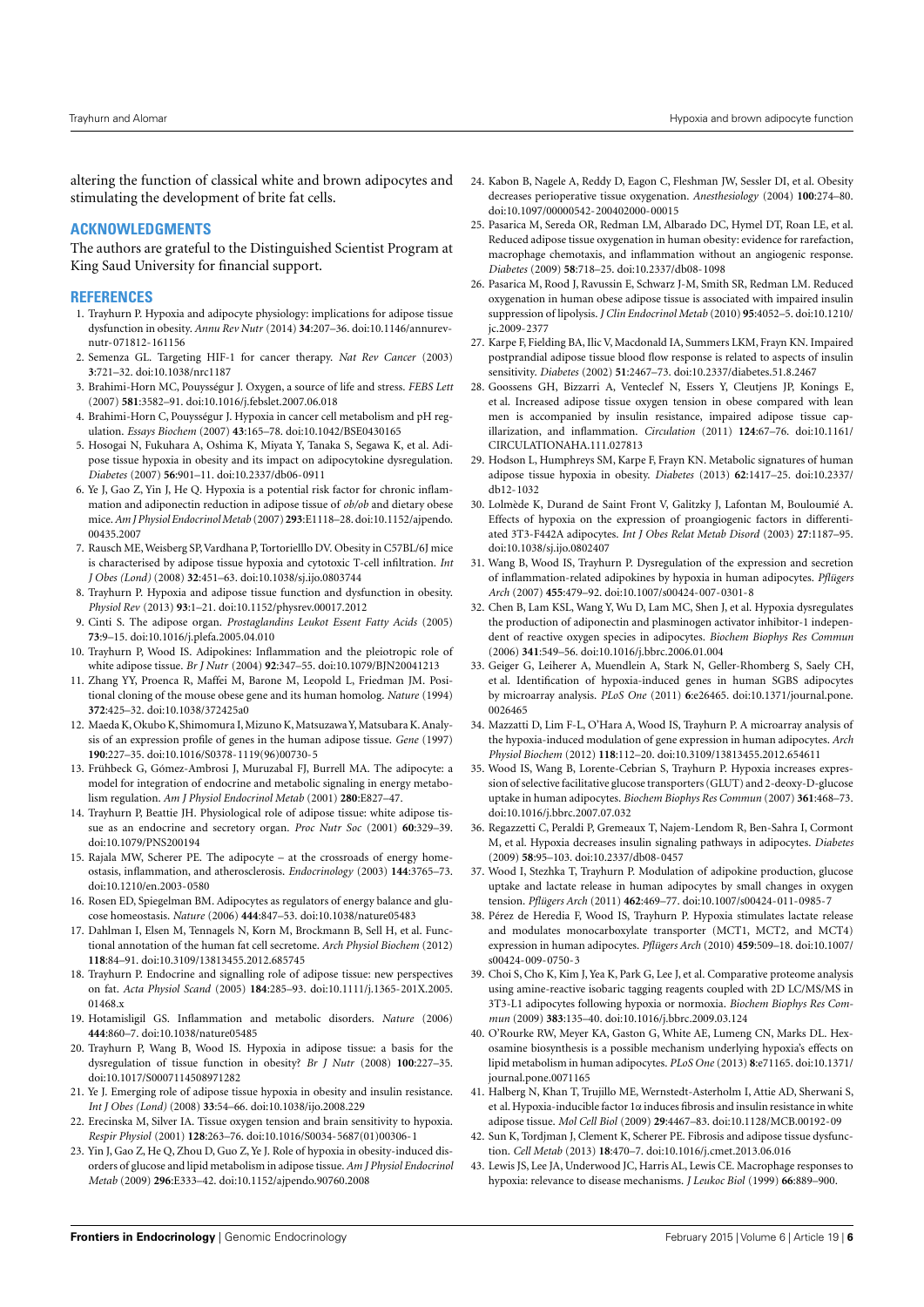altering the function of classical white and brown adipocytes and stimulating the development of brite fat cells.

## **ACKNOWLEDGMENTS**

The authors are grateful to the Distinguished Scientist Program at King Saud University for financial support.

#### **REFERENCES**

- <span id="page-5-0"></span>1. Trayhurn P. Hypoxia and adipocyte physiology: implications for adipose tissue dysfunction in obesity. *Annu Rev Nutr* (2014) **34**:207–36. doi[:10.1146/annurev](http://dx.doi.org/10.1146/annurev-nutr-071812-161156)[nutr-071812-161156](http://dx.doi.org/10.1146/annurev-nutr-071812-161156)
- <span id="page-5-1"></span>2. Semenza GL. Targeting HIF-1 for cancer therapy. *Nat Rev Cancer* (2003) **3**:721–32. doi[:10.1038/nrc1187](http://dx.doi.org/10.1038/nrc1187)
- <span id="page-5-17"></span>3. Brahimi-Horn MC, Pouysségur J. Oxygen, a source of life and stress. *FEBS Lett* (2007) **581**:3582–91. doi[:10.1016/j.febslet.2007.06.018](http://dx.doi.org/10.1016/j.febslet.2007.06.018)
- <span id="page-5-2"></span>4. Brahimi-Horn C, Pouysségur J. Hypoxia in cancer cell metabolism and pH regulation. *Essays Biochem* (2007) **43**:165–78. doi[:10.1042/BSE0430165](http://dx.doi.org/10.1042/BSE0430165)
- <span id="page-5-3"></span>5. Hosogai N, Fukuhara A, Oshima K, Miyata Y, Tanaka S, Segawa K, et al. Adipose tissue hypoxia in obesity and its impact on adipocytokine dysregulation. *Diabetes* (2007) **56**:901–11. doi[:10.2337/db06-0911](http://dx.doi.org/10.2337/db06-0911)
- <span id="page-5-26"></span>6. Ye J, Gao Z, Yin J, He Q. Hypoxia is a potential risk factor for chronic inflammation and adiponectin reduction in adipose tissue of *ob/ob* and dietary obese mice.*Am J Physiol Endocrinol Metab* (2007) **293**:E1118–28. doi[:10.1152/ajpendo.](http://dx.doi.org/10.1152/ajpendo.00435.2007) [00435.2007](http://dx.doi.org/10.1152/ajpendo.00435.2007)
- <span id="page-5-19"></span>7. Rausch ME, Weisberg SP, Vardhana P, Tortorielllo DV. Obesity in C57BL/6J mice is characterised by adipose tissue hypoxia and cytotoxic T-cell infiltration. *Int J Obes (Lond)* (2008) **32**:451–63. doi[:10.1038/sj.ijo.0803744](http://dx.doi.org/10.1038/sj.ijo.0803744)
- <span id="page-5-4"></span>8. Trayhurn P. Hypoxia and adipose tissue function and dysfunction in obesity. *Physiol Rev* (2013) **93**:1–21. doi[:10.1152/physrev.00017.2012](http://dx.doi.org/10.1152/physrev.00017.2012)
- <span id="page-5-5"></span>9. Cinti S. The adipose organ. *Prostaglandins Leukot Essent Fatty Acids* (2005) **73**:9–15. doi[:10.1016/j.plefa.2005.04.010](http://dx.doi.org/10.1016/j.plefa.2005.04.010)
- <span id="page-5-6"></span>10. Trayhurn P, Wood IS. Adipokines: Inflammation and the pleiotropic role of white adipose tissue. *Br J Nutr* (2004) **92**:347–55. doi[:10.1079/BJN20041213](http://dx.doi.org/10.1079/BJN20041213)
- <span id="page-5-7"></span>11. Zhang YY, Proenca R, Maffei M, Barone M, Leopold L, Friedman JM. Positional cloning of the mouse obese gene and its human homolog. *Nature* (1994) **372**:425–32. doi[:10.1038/372425a0](http://dx.doi.org/10.1038/372425a0)
- <span id="page-5-8"></span>12. Maeda K, Okubo K, Shimomura I, Mizuno K, Matsuzawa Y, Matsubara K. Analysis of an expression profile of genes in the human adipose tissue. *Gene* (1997) **190**:227–35. doi[:10.1016/S0378-1119\(96\)00730-5](http://dx.doi.org/10.1016/S0378-1119(96)00730-5)
- <span id="page-5-9"></span>13. Frühbeck G, Gómez-Ambrosi J, Muruzabal FJ, Burrell MA. The adipocyte: a model for integration of endocrine and metabolic signaling in energy metabolism regulation. *Am J Physiol Endocrinol Metab* (2001) **280**:E827–47.
- 14. Trayhurn P, Beattie JH. Physiological role of adipose tissue: white adipose tissue as an endocrine and secretory organ. *Proc Nutr Soc* (2001) **60**:329–39. doi[:10.1079/PNS200194](http://dx.doi.org/10.1079/PNS200194)
- <span id="page-5-12"></span>15. Rajala MW, Scherer PE. The adipocyte – at the crossroads of energy homeostasis, inflammation, and atherosclerosis. *Endocrinology* (2003) **144**:3765–73. doi[:10.1210/en.2003-0580](http://dx.doi.org/10.1210/en.2003-0580)
- <span id="page-5-10"></span>16. Rosen ED, Spiegelman BM. Adipocytes as regulators of energy balance and glucose homeostasis. *Nature* (2006) **444**:847–53. doi[:10.1038/nature05483](http://dx.doi.org/10.1038/nature05483)
- <span id="page-5-11"></span>17. Dahlman I, Elsen M, Tennagels N, Korn M, Brockmann B, Sell H, et al. Functional annotation of the human fat cell secretome. *Arch Physiol Biochem* (2012) **118**:84–91. doi[:10.3109/13813455.2012.685745](http://dx.doi.org/10.3109/13813455.2012.685745)
- <span id="page-5-13"></span>18. Trayhurn P. Endocrine and signalling role of adipose tissue: new perspectives on fat. *Acta Physiol Scand* (2005) **184**:285–93. doi[:10.1111/j.1365-201X.2005.](http://dx.doi.org/10.1111/j.1365-201X.2005.01468.x) [01468.x](http://dx.doi.org/10.1111/j.1365-201X.2005.01468.x)
- <span id="page-5-14"></span>19. Hotamisligil GS. Inflammation and metabolic disorders. *Nature* (2006) **444**:860–7. doi[:10.1038/nature05485](http://dx.doi.org/10.1038/nature05485)
- <span id="page-5-15"></span>20. Trayhurn P, Wang B, Wood IS. Hypoxia in adipose tissue: a basis for the dysregulation of tissue function in obesity? *Br J Nutr* (2008) **100**:227–35. doi[:10.1017/S0007114508971282](http://dx.doi.org/10.1017/S0007114508971282)
- <span id="page-5-16"></span>21. Ye J. Emerging role of adipose tissue hypoxia in obesity and insulin resistance. *Int J Obes (Lond)* (2008) **33**:54–66. doi[:10.1038/ijo.2008.229](http://dx.doi.org/10.1038/ijo.2008.229)
- <span id="page-5-18"></span>22. Erecinska M, Silver IA. Tissue oxygen tension and brain sensitivity to hypoxia. *Respir Physiol* (2001) **128**:263–76. doi[:10.1016/S0034-5687\(01\)00306-1](http://dx.doi.org/10.1016/S0034-5687(01)00306-1)
- <span id="page-5-20"></span>23. Yin J, Gao Z, He Q, Zhou D, Guo Z, Ye J. Role of hypoxia in obesity-induced disorders of glucose and lipid metabolism in adipose tissue.*Am J Physiol Endocrinol Metab* (2009) **296**:E333–42. doi[:10.1152/ajpendo.90760.2008](http://dx.doi.org/10.1152/ajpendo.90760.2008)
- <span id="page-5-21"></span>24. Kabon B, Nagele A, Reddy D, Eagon C, Fleshman JW, Sessler DI, et al. Obesity decreases perioperative tissue oxygenation. *Anesthesiology* (2004) **100**:274–80. doi[:10.1097/00000542-200402000-00015](http://dx.doi.org/10.1097/00000542-200402000-00015)
- 25. Pasarica M, Sereda OR, Redman LM, Albarado DC, Hymel DT, Roan LE, et al. Reduced adipose tissue oxygenation in human obesity: evidence for rarefaction, macrophage chemotaxis, and inflammation without an angiogenic response. *Diabetes* (2009) **58**:718–25. doi[:10.2337/db08-1098](http://dx.doi.org/10.2337/db08-1098)
- <span id="page-5-22"></span>26. Pasarica M, Rood J, Ravussin E, Schwarz J-M, Smith SR, Redman LM. Reduced oxygenation in human obese adipose tissue is associated with impaired insulin suppression of lipolysis. *J Clin Endocrinol Metab* (2010) **95**:4052–5. doi[:10.1210/](http://dx.doi.org/10.1210/jc.2009-2377) [jc.2009-2377](http://dx.doi.org/10.1210/jc.2009-2377)
- <span id="page-5-23"></span>27. Karpe F, Fielding BA, Ilic V, Macdonald IA, Summers LKM, Frayn KN. Impaired postprandial adipose tissue blood flow response is related to aspects of insulin sensitivity. *Diabetes* (2002) **51**:2467–73. doi[:10.2337/diabetes.51.8.2467](http://dx.doi.org/10.2337/diabetes.51.8.2467)
- <span id="page-5-24"></span>28. Goossens GH, Bizzarri A, Venteclef N, Essers Y, Cleutjens JP, Konings E, et al. Increased adipose tissue oxygen tension in obese compared with lean men is accompanied by insulin resistance, impaired adipose tissue capillarization, and inflammation. *Circulation* (2011) **124**:67–76. doi[:10.1161/](http://dx.doi.org/10.1161/CIRCULATIONAHA.111.027813) [CIRCULATIONAHA.111.027813](http://dx.doi.org/10.1161/CIRCULATIONAHA.111.027813)
- <span id="page-5-25"></span>29. Hodson L, Humphreys SM, Karpe F, Frayn KN. Metabolic signatures of human adipose tissue hypoxia in obesity. *Diabetes* (2013) **62**:1417–25. doi[:10.2337/](http://dx.doi.org/10.2337/db12-1032) [db12-1032](http://dx.doi.org/10.2337/db12-1032)
- <span id="page-5-27"></span>30. Lolmède K, Durand de Saint Front V, Galitzky J, Lafontan M, Bouloumié A. Effects of hypoxia on the expression of proangiogenic factors in differentiated 3T3-F442A adipocytes. *Int J Obes Relat Metab Disord* (2003) **27**:1187–95. doi[:10.1038/sj.ijo.0802407](http://dx.doi.org/10.1038/sj.ijo.0802407)
- 31. Wang B, Wood IS, Trayhurn P. Dysregulation of the expression and secretion of inflammation-related adipokines by hypoxia in human adipocytes. *Pflügers Arch* (2007) **455**:479–92. doi[:10.1007/s00424-007-0301-8](http://dx.doi.org/10.1007/s00424-007-0301-8)
- <span id="page-5-28"></span>32. Chen B, Lam KSL, Wang Y, Wu D, Lam MC, Shen J, et al. Hypoxia dysregulates the production of adiponectin and plasminogen activator inhibitor-1 independent of reactive oxygen species in adipocytes. *Biochem Biophys Res Commun* (2006) **341**:549–56. doi[:10.1016/j.bbrc.2006.01.004](http://dx.doi.org/10.1016/j.bbrc.2006.01.004)
- <span id="page-5-29"></span>33. Geiger G, Leiherer A, Muendlein A, Stark N, Geller-Rhomberg S, Saely CH, et al. Identification of hypoxia-induced genes in human SGBS adipocytes by microarray analysis. *PLoS One* (2011) **6**:e26465. doi[:10.1371/journal.pone.](http://dx.doi.org/10.1371/journal.pone.0026465) [0026465](http://dx.doi.org/10.1371/journal.pone.0026465)
- <span id="page-5-30"></span>34. Mazzatti D, Lim F-L, O'Hara A, Wood IS, Trayhurn P. A microarray analysis of the hypoxia-induced modulation of gene expression in human adipocytes. *Arch Physiol Biochem* (2012) **118**:112–20. doi[:10.3109/13813455.2012.654611](http://dx.doi.org/10.3109/13813455.2012.654611)
- <span id="page-5-31"></span>35. Wood IS, Wang B, Lorente-Cebrian S, Trayhurn P. Hypoxia increases expression of selective facilitative glucose transporters (GLUT) and 2-deoxy-D-glucose uptake in human adipocytes. *Biochem Biophys Res Commun* (2007) **361**:468–73. doi[:10.1016/j.bbrc.2007.07.032](http://dx.doi.org/10.1016/j.bbrc.2007.07.032)
- <span id="page-5-32"></span>36. Regazzetti C, Peraldi P, Gremeaux T, Najem-Lendom R, Ben-Sahra I, Cormont M, et al. Hypoxia decreases insulin signaling pathways in adipocytes. *Diabetes* (2009) **58**:95–103. doi[:10.2337/db08-0457](http://dx.doi.org/10.2337/db08-0457)
- <span id="page-5-33"></span>37. Wood I, Stezhka T, Trayhurn P. Modulation of adipokine production, glucose uptake and lactate release in human adipocytes by small changes in oxygen tension. *Pflügers Arch* (2011) **462**:469–77. doi[:10.1007/s00424-011-0985-7](http://dx.doi.org/10.1007/s00424-011-0985-7)
- <span id="page-5-34"></span>38. Pérez de Heredia F, Wood IS, Trayhurn P. Hypoxia stimulates lactate release and modulates monocarboxylate transporter (MCT1, MCT2, and MCT4) expression in human adipocytes. *Pflügers Arch* (2010) **459**:509–18. doi[:10.1007/](http://dx.doi.org/10.1007/s00424-009-0750-3) [s00424-009-0750-3](http://dx.doi.org/10.1007/s00424-009-0750-3)
- <span id="page-5-35"></span>39. Choi S, Cho K, Kim J, Yea K, Park G, Lee J, et al. Comparative proteome analysis using amine-reactive isobaric tagging reagents coupled with 2D LC/MS/MS in 3T3-L1 adipocytes following hypoxia or normoxia. *Biochem Biophys Res Commun* (2009) **383**:135–40. doi[:10.1016/j.bbrc.2009.03.124](http://dx.doi.org/10.1016/j.bbrc.2009.03.124)
- <span id="page-5-36"></span>40. O'Rourke RW, Meyer KA, Gaston G, White AE, Lumeng CN, Marks DL. Hexosamine biosynthesis is a possible mechanism underlying hypoxia's effects on lipid metabolism in human adipocytes. *PLoS One* (2013) **8**:e71165. doi[:10.1371/](http://dx.doi.org/10.1371/journal.pone.0071165) [journal.pone.0071165](http://dx.doi.org/10.1371/journal.pone.0071165)
- <span id="page-5-37"></span>41. Halberg N, Khan T, Trujillo ME, Wernstedt-Asterholm I, Attie AD, Sherwani S, et al. Hypoxia-inducible factor 1α induces fibrosis and insulin resistance in white adipose tissue. *Mol Cell Biol* (2009) **29**:4467–83. doi[:10.1128/MCB.00192-09](http://dx.doi.org/10.1128/MCB.00192-09)
- <span id="page-5-38"></span>42. Sun K, Tordjman J, Clement K, Scherer PE. Fibrosis and adipose tissue dysfunction. *Cell Metab* (2013) **18**:470–7. doi[:10.1016/j.cmet.2013.06.016](http://dx.doi.org/10.1016/j.cmet.2013.06.016)
- <span id="page-5-39"></span>43. Lewis JS, Lee JA, Underwood JC, Harris AL, Lewis CE. Macrophage responses to hypoxia: relevance to disease mechanisms. *J Leukoc Biol* (1999) **66**:889–900.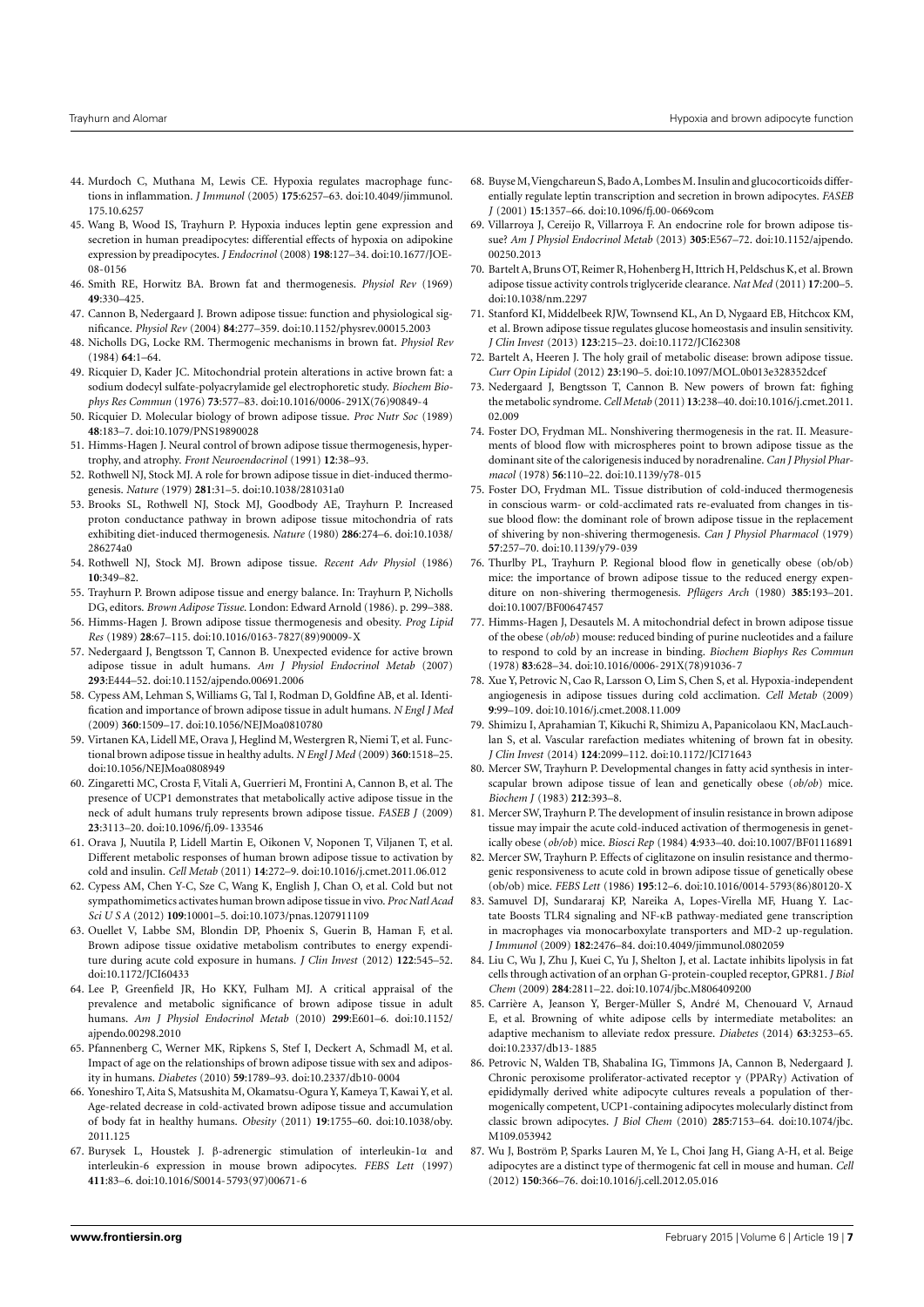- <span id="page-6-0"></span>44. Murdoch C, Muthana M, Lewis CE. Hypoxia regulates macrophage functions in inflammation. *J Immunol* (2005) **175**:6257–63. doi[:10.4049/jimmunol.](http://dx.doi.org/10.4049/jimmunol.175.10.6257) [175.10.6257](http://dx.doi.org/10.4049/jimmunol.175.10.6257)
- <span id="page-6-1"></span>45. Wang B, Wood IS, Trayhurn P. Hypoxia induces leptin gene expression and secretion in human preadipocytes: differential effects of hypoxia on adipokine expression by preadipocytes. *J Endocrinol* (2008) **198**:127–34. doi[:10.1677/JOE-](http://dx.doi.org/10.1677/JOE-08-0156)[08-0156](http://dx.doi.org/10.1677/JOE-08-0156)
- <span id="page-6-2"></span>46. Smith RE, Horwitz BA. Brown fat and thermogenesis. *Physiol Rev* (1969) **49**:330–425.
- <span id="page-6-3"></span>47. Cannon B, Nedergaard J. Brown adipose tissue: function and physiological significance. *Physiol Rev* (2004) **84**:277–359. doi[:10.1152/physrev.00015.2003](http://dx.doi.org/10.1152/physrev.00015.2003)
- <span id="page-6-4"></span>48. Nicholls DG, Locke RM. Thermogenic mechanisms in brown fat. *Physiol Rev* (1984) **64**:1–64.
- <span id="page-6-5"></span>49. Ricquier D, Kader JC. Mitochondrial protein alterations in active brown fat: a sodium dodecyl sulfate-polyacrylamide gel electrophoretic study. *Biochem Biophys Res Commun* (1976) **73**:577–83. doi[:10.1016/0006-291X\(76\)90849-4](http://dx.doi.org/10.1016/0006-291X(76)90849-4)
- <span id="page-6-6"></span>50. Ricquier D. Molecular biology of brown adipose tissue. *Proc Nutr Soc* (1989) **48**:183–7. doi[:10.1079/PNS19890028](http://dx.doi.org/10.1079/PNS19890028)
- <span id="page-6-7"></span>51. Himms-Hagen J. Neural control of brown adipose tissue thermogenesis, hypertrophy, and atrophy. *Front Neuroendocrinol* (1991) **12**:38–93.
- <span id="page-6-8"></span>52. Rothwell NJ, Stock MJ. A role for brown adipose tissue in diet-induced thermogenesis. *Nature* (1979) **281**:31–5. doi[:10.1038/281031a0](http://dx.doi.org/10.1038/281031a0)
- 53. Brooks SL, Rothwell NJ, Stock MJ, Goodbody AE, Trayhurn P. Increased proton conductance pathway in brown adipose tissue mitochondria of rats exhibiting diet-induced thermogenesis. *Nature* (1980) **286**:274–6. doi[:10.1038/](http://dx.doi.org/10.1038/286274a0) [286274a0](http://dx.doi.org/10.1038/286274a0)
- <span id="page-6-9"></span>54. Rothwell NJ, Stock MJ. Brown adipose tissue. *Recent Adv Physiol* (1986) **10**:349–82.
- <span id="page-6-28"></span>55. Trayhurn P. Brown adipose tissue and energy balance. In: Trayhurn P, Nicholls DG, editors. *Brown Adipose Tissue*. London: Edward Arnold (1986). p. 299–388.
- <span id="page-6-10"></span>56. Himms-Hagen J. Brown adipose tissue thermogenesis and obesity. *Prog Lipid Res* (1989) **28**:67–115. doi[:10.1016/0163-7827\(89\)90009-X](http://dx.doi.org/10.1016/0163-7827(89)90009-X)
- <span id="page-6-11"></span>57. Nedergaard J, Bengtsson T, Cannon B. Unexpected evidence for active brown adipose tissue in adult humans. *Am J Physiol Endocrinol Metab* (2007) **293**:E444–52. doi[:10.1152/ajpendo.00691.2006](http://dx.doi.org/10.1152/ajpendo.00691.2006)
- <span id="page-6-12"></span>58. Cypess AM, Lehman S, Williams G, Tal I, Rodman D, Goldfine AB, et al. Identification and importance of brown adipose tissue in adult humans. *N Engl J Med* (2009) **360**:1509–17. doi[:10.1056/NEJMoa0810780](http://dx.doi.org/10.1056/NEJMoa0810780)
- <span id="page-6-14"></span>59. Virtanen KA, Lidell ME, Orava J, Heglind M, Westergren R, Niemi T, et al. Functional brown adipose tissue in healthy adults. *N Engl J Med* (2009) **360**:1518–25. doi[:10.1056/NEJMoa0808949](http://dx.doi.org/10.1056/NEJMoa0808949)
- <span id="page-6-13"></span>60. Zingaretti MC, Crosta F, Vitali A, Guerrieri M, Frontini A, Cannon B, et al. The presence of UCP1 demonstrates that metabolically active adipose tissue in the neck of adult humans truly represents brown adipose tissue. *FASEB J* (2009) **23**:3113–20. doi[:10.1096/fj.09-133546](http://dx.doi.org/10.1096/fj.09-133546)
- <span id="page-6-15"></span>61. Orava J, Nuutila P, Lidell Martin E, Oikonen V, Noponen T, Viljanen T, et al. Different metabolic responses of human brown adipose tissue to activation by cold and insulin. *Cell Metab* (2011) **14**:272–9. doi[:10.1016/j.cmet.2011.06.012](http://dx.doi.org/10.1016/j.cmet.2011.06.012)
- 62. Cypess AM, Chen Y-C, Sze C, Wang K, English J, Chan O, et al. Cold but not sympathomimetics activates human brown adipose tissue in vivo. *Proc Natl Acad Sci U S A* (2012) **109**:10001–5. doi[:10.1073/pnas.1207911109](http://dx.doi.org/10.1073/pnas.1207911109)
- <span id="page-6-16"></span>63. Ouellet V, Labbe SM, Blondin DP, Phoenix S, Guerin B, Haman F, et al. Brown adipose tissue oxidative metabolism contributes to energy expenditure during acute cold exposure in humans. *J Clin Invest* (2012) **122**:545–52. doi[:10.1172/JCI60433](http://dx.doi.org/10.1172/JCI60433)
- <span id="page-6-17"></span>64. Lee P, Greenfield JR, Ho KKY, Fulham MJ. A critical appraisal of the prevalence and metabolic significance of brown adipose tissue in adult humans. *Am J Physiol Endocrinol Metab* (2010) **299**:E601–6. doi[:10.1152/](http://dx.doi.org/10.1152/ajpendo.00298.2010) [ajpendo.00298.2010](http://dx.doi.org/10.1152/ajpendo.00298.2010)
- 65. Pfannenberg C, Werner MK, Ripkens S, Stef I, Deckert A, Schmadl M, et al. Impact of age on the relationships of brown adipose tissue with sex and adiposity in humans. *Diabetes* (2010) **59**:1789–93. doi[:10.2337/db10-0004](http://dx.doi.org/10.2337/db10-0004)
- <span id="page-6-18"></span>66. Yoneshiro T, Aita S, Matsushita M, Okamatsu-Ogura Y, Kameya T, Kawai Y, et al. Age-related decrease in cold-activated brown adipose tissue and accumulation of body fat in healthy humans. *Obesity* (2011) **19**:1755–60. doi[:10.1038/oby.](http://dx.doi.org/10.1038/oby.2011.125) [2011.125](http://dx.doi.org/10.1038/oby.2011.125)
- <span id="page-6-19"></span>67. Burysek L, Houstek J. β-adrenergic stimulation of interleukin-1α and interleukin-6 expression in mouse brown adipocytes. *FEBS Lett* (1997) **411**:83–6. doi[:10.1016/S0014-5793\(97\)00671-6](http://dx.doi.org/10.1016/S0014-5793(97)00671-6)
- 68. Buyse M,Viengchareun S, Bado A, Lombes M. Insulin and glucocorticoids differentially regulate leptin transcription and secretion in brown adipocytes. *FASEB J* (2001) **15**:1357–66. doi[:10.1096/fj.00-0669com](http://dx.doi.org/10.1096/fj.00-0669com)
- <span id="page-6-20"></span>69. Villarroya J, Cereijo R, Villarroya F. An endocrine role for brown adipose tissue? *Am J Physiol Endocrinol Metab* (2013) **305**:E567–72. doi[:10.1152/ajpendo.](http://dx.doi.org/10.1152/ajpendo.00250.2013) [00250.2013](http://dx.doi.org/10.1152/ajpendo.00250.2013)
- <span id="page-6-21"></span>70. Bartelt A, Bruns OT, Reimer R, Hohenberg H, Ittrich H, Peldschus K, et al. Brown adipose tissue activity controls triglyceride clearance. *Nat Med* (2011) **17**:200–5. doi[:10.1038/nm.2297](http://dx.doi.org/10.1038/nm.2297)
- <span id="page-6-22"></span>71. Stanford KI, Middelbeek RJW, Townsend KL, An D, Nygaard EB, Hitchcox KM, et al. Brown adipose tissue regulates glucose homeostasis and insulin sensitivity. *J Clin Invest* (2013) **123**:215–23. doi[:10.1172/JCI62308](http://dx.doi.org/10.1172/JCI62308)
- <span id="page-6-23"></span>72. Bartelt A, Heeren J. The holy grail of metabolic disease: brown adipose tissue. *Curr Opin Lipidol* (2012) **23**:190–5. doi[:10.1097/MOL.0b013e328352dcef](http://dx.doi.org/10.1097/MOL.0b013e328352dcef)
- <span id="page-6-24"></span>73. Nedergaard J, Bengtsson T, Cannon B. New powers of brown fat: fighing the metabolic syndrome.*Cell Metab* (2011) **13**:238–40. doi[:10.1016/j.cmet.2011.](http://dx.doi.org/10.1016/j.cmet.2011.02.009) [02.009](http://dx.doi.org/10.1016/j.cmet.2011.02.009)
- <span id="page-6-25"></span>74. Foster DO, Frydman ML. Nonshivering thermogenesis in the rat. II. Measurements of blood flow with microspheres point to brown adipose tissue as the dominant site of the calorigenesis induced by noradrenaline. *Can J Physiol Pharmacol* (1978) **56**:110–22. doi[:10.1139/y78-015](http://dx.doi.org/10.1139/y78-015)
- <span id="page-6-26"></span>75. Foster DO, Frydman ML. Tissue distribution of cold-induced thermogenesis in conscious warm- or cold-acclimated rats re-evaluated from changes in tissue blood flow: the dominant role of brown adipose tissue in the replacement of shivering by non-shivering thermogenesis. *Can J Physiol Pharmacol* (1979) **57**:257–70. doi[:10.1139/y79-039](http://dx.doi.org/10.1139/y79-039)
- <span id="page-6-27"></span>76. Thurlby PL, Trayhurn P. Regional blood flow in genetically obese (ob/ob) mice: the importance of brown adipose tissue to the reduced energy expenditure on non-shivering thermogenesis. *Pflügers Arch* (1980) **385**:193–201. doi[:10.1007/BF00647457](http://dx.doi.org/10.1007/BF00647457)
- <span id="page-6-29"></span>77. Himms-Hagen J, Desautels M. A mitochondrial defect in brown adipose tissue of the obese (*ob/ob*) mouse: reduced binding of purine nucleotides and a failure to respond to cold by an increase in binding. *Biochem Biophys Res Commun* (1978) **83**:628–34. doi[:10.1016/0006-291X\(78\)91036-7](http://dx.doi.org/10.1016/0006-291X(78)91036-7)
- <span id="page-6-30"></span>78. Xue Y, Petrovic N, Cao R, Larsson O, Lim S, Chen S, et al. Hypoxia-independent angiogenesis in adipose tissues during cold acclimation. *Cell Metab* (2009) **9**:99–109. doi[:10.1016/j.cmet.2008.11.009](http://dx.doi.org/10.1016/j.cmet.2008.11.009)
- <span id="page-6-31"></span>79. Shimizu I, Aprahamian T, Kikuchi R, Shimizu A, Papanicolaou KN, MacLauchlan S, et al. Vascular rarefaction mediates whitening of brown fat in obesity. *J Clin Invest* (2014) **124**:2099–112. doi[:10.1172/JCI71643](http://dx.doi.org/10.1172/JCI71643)
- <span id="page-6-32"></span>80. Mercer SW, Trayhurn P. Developmental changes in fatty acid synthesis in interscapular brown adipose tissue of lean and genetically obese (*ob/ob*) mice. *Biochem J* (1983) **212**:393–8.
- <span id="page-6-33"></span>81. Mercer SW, Trayhurn P. The development of insulin resistance in brown adipose tissue may impair the acute cold-induced activation of thermogenesis in genetically obese (*ob/ob*) mice. *Biosci Rep* (1984) **4**:933–40. doi[:10.1007/BF01116891](http://dx.doi.org/10.1007/BF01116891)
- <span id="page-6-34"></span>82. Mercer SW, Trayhurn P. Effects of ciglitazone on insulin resistance and thermogenic responsiveness to acute cold in brown adipose tissue of genetically obese (ob/ob) mice. *FEBS Lett* (1986) **195**:12–6. doi[:10.1016/0014-5793\(86\)80120-X](http://dx.doi.org/10.1016/0014-5793(86)80120-X)
- <span id="page-6-35"></span>83. Samuvel DJ, Sundararaj KP, Nareika A, Lopes-Virella MF, Huang Y. Lactate Boosts TLR4 signaling and NF-κB pathway-mediated gene transcription in macrophages via monocarboxylate transporters and MD-2 up-regulation. *J Immunol* (2009) **182**:2476–84. doi[:10.4049/jimmunol.0802059](http://dx.doi.org/10.4049/jimmunol.0802059)
- <span id="page-6-36"></span>84. Liu C, Wu J, Zhu J, Kuei C, Yu J, Shelton J, et al. Lactate inhibits lipolysis in fat cells through activation of an orphan G-protein-coupled receptor, GPR81. *J Biol Chem* (2009) **284**:2811–22. doi[:10.1074/jbc.M806409200](http://dx.doi.org/10.1074/jbc.M806409200)
- <span id="page-6-37"></span>85. Carrière A, Jeanson Y, Berger-Müller S, André M, Chenouard V, Arnaud E, et al. Browning of white adipose cells by intermediate metabolites: an adaptive mechanism to alleviate redox pressure. *Diabetes* (2014) **63**:3253–65. doi[:10.2337/db13-1885](http://dx.doi.org/10.2337/db13-1885)
- <span id="page-6-38"></span>86. Petrovic N, Walden TB, Shabalina IG, Timmons JA, Cannon B, Nedergaard J. Chronic peroxisome proliferator-activated receptor γ (PPARγ) Activation of epididymally derived white adipocyte cultures reveals a population of thermogenically competent, UCP1-containing adipocytes molecularly distinct from classic brown adipocytes. *J Biol Chem* (2010) **285**:7153–64. doi[:10.1074/jbc.](http://dx.doi.org/10.1074/jbc.M109.053942) [M109.053942](http://dx.doi.org/10.1074/jbc.M109.053942)
- <span id="page-6-39"></span>87. Wu J, Boström P, Sparks Lauren M, Ye L, Choi Jang H, Giang A-H, et al. Beige adipocytes are a distinct type of thermogenic fat cell in mouse and human. *Cell* (2012) **150**:366–76. doi[:10.1016/j.cell.2012.05.016](http://dx.doi.org/10.1016/j.cell.2012.05.016)